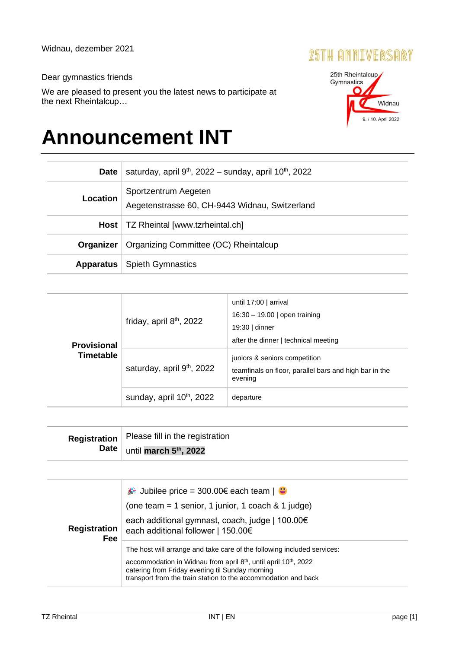## 25TH ANNIVERSARY

## Dear gymnastics friends

We are pleased to present you the latest news to participate at the next Rheintalcup…

## **Announcement INT**

| <b>Date</b>     | saturday, april $9th$ , 2022 – sunday, april 10 <sup>th</sup> , 2022   |  |  |
|-----------------|------------------------------------------------------------------------|--|--|
| <b>Location</b> | Sportzentrum Aegeten<br>Aegetenstrasse 60, CH-9443 Widnau, Switzerland |  |  |
| Host            | TZ Rheintal [www.tzrheintal.ch]                                        |  |  |
| Organizer       | Organizing Committee (OC) Rheintalcup                                  |  |  |
| Apparatus       | <b>Spieth Gymnastics</b>                                               |  |  |

| <b>Provisional</b><br><b>Timetable</b> | friday, april 8 <sup>th</sup> , 2022   | until 17:00   arrival<br>16:30 - 19.00   open training<br>19:30   dinner<br>after the dinner   technical meeting |
|----------------------------------------|----------------------------------------|------------------------------------------------------------------------------------------------------------------|
|                                        | saturday, april 9 <sup>th</sup> , 2022 | juniors & seniors competition<br>teamfinals on floor, parallel bars and high bar in the<br>evening               |
|                                        | sunday, april 10 <sup>th</sup> , 2022  | departure                                                                                                        |

| Registration   Please fill in the registration  |
|-------------------------------------------------|
| Date $\vert$ until march 5 <sup>th</sup> , 2022 |

| <b>Registration</b><br>Fee | ⇒ Jubilee price = 300.00€ each team   ●<br>(one team = 1 senior, 1 junior, 1 coach $& 1$ judge)<br>each additional gymnast, coach, judge   100.00€<br>each additional follower   150.00€                                                                                       |
|----------------------------|--------------------------------------------------------------------------------------------------------------------------------------------------------------------------------------------------------------------------------------------------------------------------------|
|                            | The host will arrange and take care of the following included services:<br>accommodation in Widnau from april $8th$ , until april 10 <sup>th</sup> , 2022<br>catering from Friday evening til Sunday morning<br>transport from the train station to the accommodation and back |